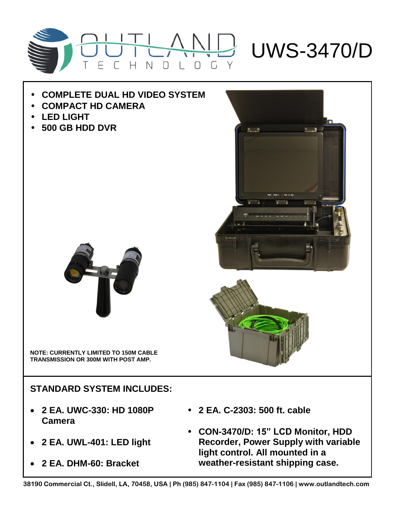

## • **COMPLETE DUAL HD VIDEO SYSTEM**

- **COMPACT HD CAMERA**
- **LED LIGHT**
- **500 GB HDD DVR**



**NOTE: CURRENTLY LIMITED TO 150M CABLE TRANSMISSION OR 300M WITH POST AMP.**

**STANDARD SYSTEM INCLUDES:**

- **2 EA. UWC-330: HD 1080P Camera**
- **2 EA. UWL-401: LED light**
- **2 EA. DHM-60: Bracket**
- **2 EA. C-2303: 500 ft. cable**
- **CON-3470/D: 15" LCD Monitor, HDD Recorder, Power Supply with variable light control. All mounted in a weather-resistant shipping case.**